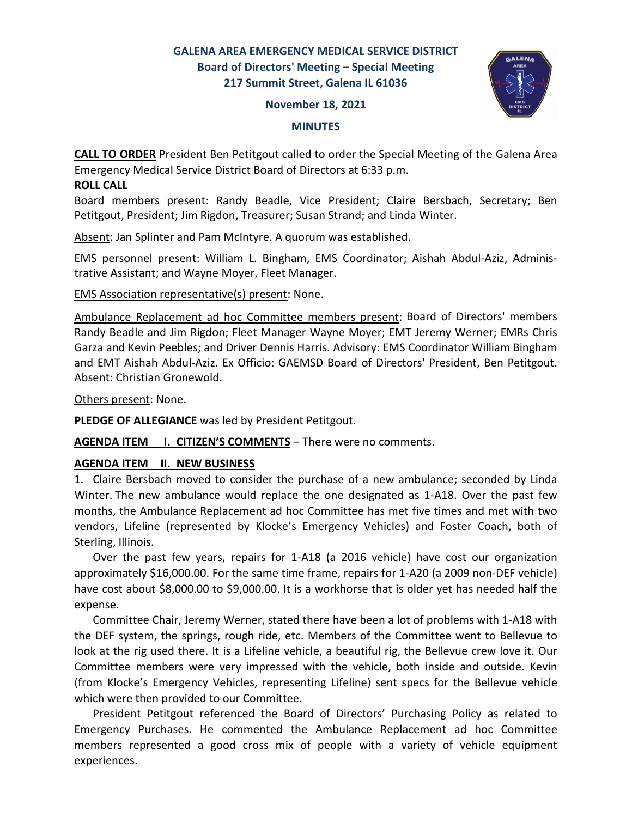# **GALENA AREA EMERGENCY MEDICAL SERVICE DISTRICT Board of Directors' Meeting – Special Meeting 217 Summit Street, Galena IL 61036**

#### **November 18, 2021**



#### **MINUTES**

**CALL TO ORDER** President Ben Petitgout called to order the Special Meeting of the Galena Area Emergency Medical Service District Board of Directors at 6:33 p.m.

## **ROLL CALL**

Board members present: Randy Beadle, Vice President; Claire Bersbach, Secretary; Ben Petitgout, President; Jim Rigdon, Treasurer; Susan Strand; and Linda Winter.

Absent: Jan Splinter and Pam McIntyre. A quorum was established.

EMS personnel present: William L. Bingham, EMS Coordinator; Aishah Abdul-Aziz, Administrative Assistant; and Wayne Moyer, Fleet Manager.

EMS Association representative(s) present: None.

Ambulance Replacement ad hoc Committee members present: Board of Directors' members Randy Beadle and Jim Rigdon; Fleet Manager Wayne Moyer; EMT Jeremy Werner; EMRs Chris Garza and Kevin Peebles; and Driver Dennis Harris. Advisory: EMS Coordinator William Bingham and EMT Aishah Abdul-Aziz. Ex Officio: GAEMSD Board of Directors' President, Ben Petitgout. Absent: Christian Gronewold.

Others present: None.

**PLEDGE OF ALLEGIANCE** was led by President Petitgout.

AGENDA ITEM I. CITIZEN'S COMMENTS - There were no comments.

## **AGENDA ITEM II. NEW BUSINESS**

1. Claire Bersbach moved to consider the purchase of a new ambulance; seconded by Linda Winter. The new ambulance would replace the one designated as 1-A18. Over the past few months, the Ambulance Replacement ad hoc Committee has met five times and met with two vendors, Lifeline (represented by Klocke's Emergency Vehicles) and Foster Coach, both of Sterling, Illinois.

 Over the past few years, repairs for 1-A18 (a 2016 vehicle) have cost our organization approximately \$16,000.00. For the same time frame, repairs for 1-A20 (a 2009 non-DEF vehicle) have cost about \$8,000.00 to \$9,000.00. It is a workhorse that is older yet has needed half the expense.

 Committee Chair, Jeremy Werner, stated there have been a lot of problems with 1-A18 with the DEF system, the springs, rough ride, etc. Members of the Committee went to Bellevue to look at the rig used there. It is a Lifeline vehicle, a beautiful rig, the Bellevue crew love it. Our Committee members were very impressed with the vehicle, both inside and outside. Kevin (from Klocke's Emergency Vehicles, representing Lifeline) sent specs for the Bellevue vehicle which were then provided to our Committee.

 President Petitgout referenced the Board of Directors' Purchasing Policy as related to Emergency Purchases. He commented the Ambulance Replacement ad hoc Committee members represented a good cross mix of people with a variety of vehicle equipment experiences.